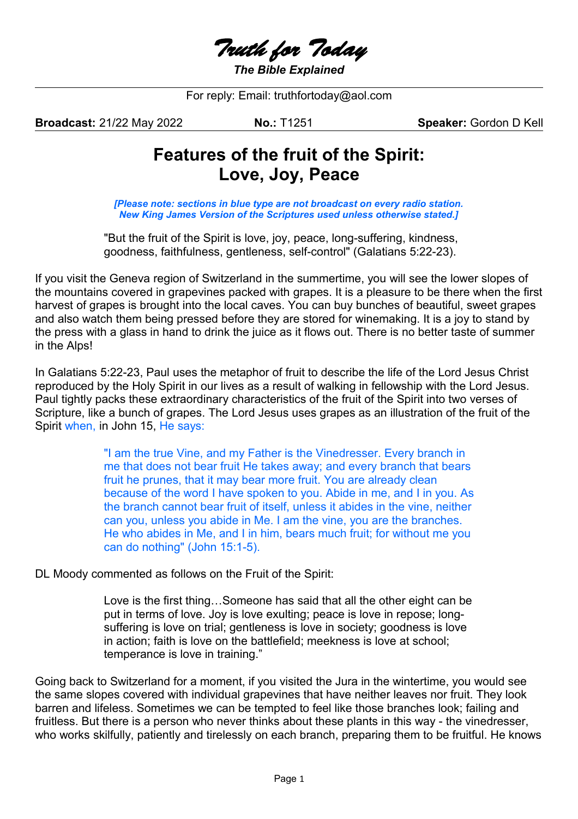Truth for Today

*The Bible Explained*

For reply: Email: truthfortoday@aol.com

**Broadcast:** 21/22 May 2022 **No.:** T1251 **Speaker:** Gordon D Kell

# **Features of the fruit of the Spirit: Love, Joy, Peace**

*[Please note: sections in blue type are not broadcast on every radio station. New King James Version of the Scriptures used unless otherwise stated.]*

"But the fruit of the Spirit is love, joy, peace, long-suffering, kindness, goodness, faithfulness, gentleness, self-control" (Galatians 5:22-23).

If you visit the Geneva region of Switzerland in the summertime, you will see the lower slopes of the mountains covered in grapevines packed with grapes. It is a pleasure to be there when the first harvest of grapes is brought into the local caves. You can buy bunches of beautiful, sweet grapes and also watch them being pressed before they are stored for winemaking. It is a joy to stand by the press with a glass in hand to drink the juice as it flows out. There is no better taste of summer in the Alps!

In Galatians 5:22-23, Paul uses the metaphor of fruit to describe the life of the Lord Jesus Christ reproduced by the Holy Spirit in our lives as a result of walking in fellowship with the Lord Jesus. Paul tightly packs these extraordinary characteristics of the fruit of the Spirit into two verses of Scripture, like a bunch of grapes. The Lord Jesus uses grapes as an illustration of the fruit of the Spirit when, in John 15, He says:

> "I am the true Vine, and my Father is the Vinedresser. Every branch in me that does not bear fruit He takes away; and every branch that bears fruit he prunes, that it may bear more fruit. You are already clean because of the word I have spoken to you. Abide in me, and I in you. As the branch cannot bear fruit of itself, unless it abides in the vine, neither can you, unless you abide in Me. I am the vine, you are the branches. He who abides in Me, and I in him, bears much fruit; for without me you can do nothing" (John 15:1-5).

## DL Moody commented as follows on the Fruit of the Spirit:

Love is the first thing…Someone has said that all the other eight can be put in terms of love. Joy is love exulting; peace is love in repose; longsuffering is love on trial; gentleness is love in society; goodness is love in action; faith is love on the battlefield; meekness is love at school; temperance is love in training."

Going back to Switzerland for a moment, if you visited the Jura in the wintertime, you would see the same slopes covered with individual grapevines that have neither leaves nor fruit. They look barren and lifeless. Sometimes we can be tempted to feel like those branches look; failing and fruitless. But there is a person who never thinks about these plants in this way - the vinedresser, who works skilfully, patiently and tirelessly on each branch, preparing them to be fruitful. He knows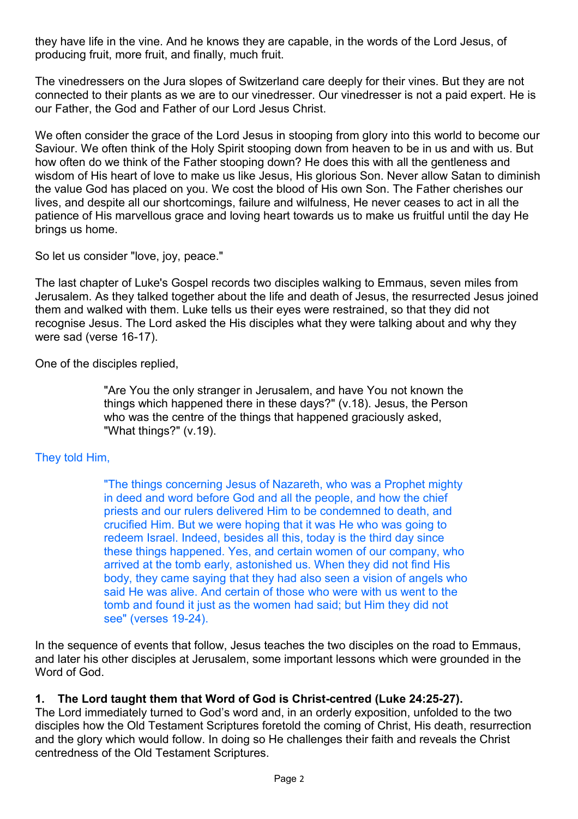they have life in the vine. And he knows they are capable, in the words of the Lord Jesus, of producing fruit, more fruit, and finally, much fruit.

The vinedressers on the Jura slopes of Switzerland care deeply for their vines. But they are not connected to their plants as we are to our vinedresser. Our vinedresser is not a paid expert. He is our Father, the God and Father of our Lord Jesus Christ.

We often consider the grace of the Lord Jesus in stooping from glory into this world to become our Saviour. We often think of the Holy Spirit stooping down from heaven to be in us and with us. But how often do we think of the Father stooping down? He does this with all the gentleness and wisdom of His heart of love to make us like Jesus, His glorious Son. Never allow Satan to diminish the value God has placed on you. We cost the blood of His own Son. The Father cherishes our lives, and despite all our shortcomings, failure and wilfulness, He never ceases to act in all the patience of His marvellous grace and loving heart towards us to make us fruitful until the day He brings us home.

So let us consider "love, joy, peace."

The last chapter of Luke's Gospel records two disciples walking to Emmaus, seven miles from Jerusalem. As they talked together about the life and death of Jesus, the resurrected Jesus joined them and walked with them. Luke tells us their eyes were restrained, so that they did not recognise Jesus. The Lord asked the His disciples what they were talking about and why they were sad (verse 16-17).

One of the disciples replied,

"Are You the only stranger in Jerusalem, and have You not known the things which happened there in these days?" (v.18). Jesus, the Person who was the centre of the things that happened graciously asked, "What things?" (v.19).

# They told Him,

"The things concerning Jesus of Nazareth, who was a Prophet mighty in deed and word before God and all the people, and how the chief priests and our rulers delivered Him to be condemned to death, and crucified Him. But we were hoping that it was He who was going to redeem Israel. Indeed, besides all this, today is the third day since these things happened. Yes, and certain women of our company, who arrived at the tomb early, astonished us. When they did not find His body, they came saying that they had also seen a vision of angels who said He was alive. And certain of those who were with us went to the tomb and found it just as the women had said; but Him they did not see" (verses 19-24).

In the sequence of events that follow, Jesus teaches the two disciples on the road to Emmaus, and later his other disciples at Jerusalem, some important lessons which were grounded in the Word of God.

# **1. The Lord taught them that Word of God is Christ-centred (Luke 24:25-27).**

The Lord immediately turned to God's word and, in an orderly exposition, unfolded to the two disciples how the Old Testament Scriptures foretold the coming of Christ, His death, resurrection and the glory which would follow. In doing so He challenges their faith and reveals the Christ centredness of the Old Testament Scriptures.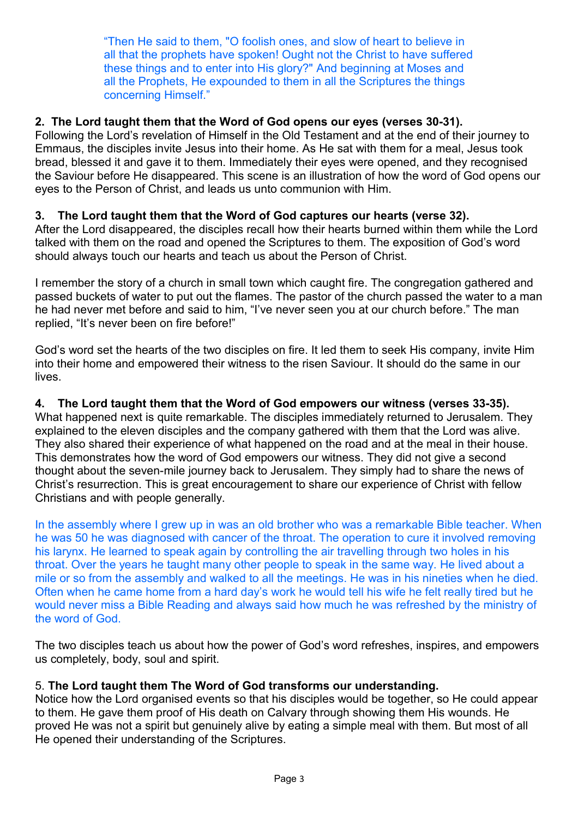"Then He said to them, "O foolish ones, and slow of heart to believe in all that the prophets have spoken! Ought not the Christ to have suffered these things and to enter into His glory?" And beginning at Moses and all the Prophets, He expounded to them in all the Scriptures the things concerning Himself."

## **2. The Lord taught them that the Word of God opens our eyes (verses 30-31).**

Following the Lord's revelation of Himself in the Old Testament and at the end of their journey to Emmaus, the disciples invite Jesus into their home. As He sat with them for a meal, Jesus took bread, blessed it and gave it to them. Immediately their eyes were opened, and they recognised the Saviour before He disappeared. This scene is an illustration of how the word of God opens our eyes to the Person of Christ, and leads us unto communion with Him.

## **3. The Lord taught them that the Word of God captures our hearts (verse 32).**

After the Lord disappeared, the disciples recall how their hearts burned within them while the Lord talked with them on the road and opened the Scriptures to them. The exposition of God's word should always touch our hearts and teach us about the Person of Christ.

I remember the story of a church in small town which caught fire. The congregation gathered and passed buckets of water to put out the flames. The pastor of the church passed the water to a man he had never met before and said to him, "I've never seen you at our church before." The man replied, "It's never been on fire before!"

God's word set the hearts of the two disciples on fire. It led them to seek His company, invite Him into their home and empowered their witness to the risen Saviour. It should do the same in our lives.

## **4. The Lord taught them that the Word of God empowers our witness (verses 33-35).**

What happened next is quite remarkable. The disciples immediately returned to Jerusalem. They explained to the eleven disciples and the company gathered with them that the Lord was alive. They also shared their experience of what happened on the road and at the meal in their house. This demonstrates how the word of God empowers our witness. They did not give a second thought about the seven-mile journey back to Jerusalem. They simply had to share the news of Christ's resurrection. This is great encouragement to share our experience of Christ with fellow Christians and with people generally.

In the assembly where I grew up in was an old brother who was a remarkable Bible teacher. When he was 50 he was diagnosed with cancer of the throat. The operation to cure it involved removing his larynx. He learned to speak again by controlling the air travelling through two holes in his throat. Over the years he taught many other people to speak in the same way. He lived about a mile or so from the assembly and walked to all the meetings. He was in his nineties when he died. Often when he came home from a hard day's work he would tell his wife he felt really tired but he would never miss a Bible Reading and always said how much he was refreshed by the ministry of the word of God.

The two disciples teach us about how the power of God's word refreshes, inspires, and empowers us completely, body, soul and spirit.

## 5. **The Lord taught them The Word of God transforms our understanding.**

Notice how the Lord organised events so that his disciples would be together, so He could appear to them. He gave them proof of His death on Calvary through showing them His wounds. He proved He was not a spirit but genuinely alive by eating a simple meal with them. But most of all He opened their understanding of the Scriptures.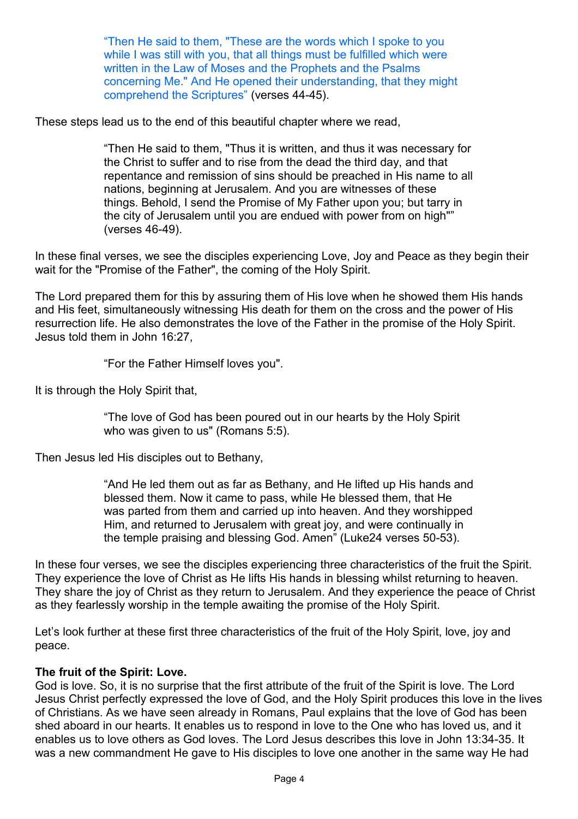"Then He said to them, "These are the words which I spoke to you while I was still with you, that all things must be fulfilled which were written in the Law of Moses and the Prophets and the Psalms concerning Me." And He opened their understanding, that they might comprehend the Scriptures" (verses 44-45).

These steps lead us to the end of this beautiful chapter where we read,

"Then He said to them, "Thus it is written, and thus it was necessary for the Christ to suffer and to rise from the dead the third day, and that repentance and remission of sins should be preached in His name to all nations, beginning at Jerusalem. And you are witnesses of these things. Behold, I send the Promise of My Father upon you; but tarry in the city of Jerusalem until you are endued with power from on high"" (verses 46-49).

In these final verses, we see the disciples experiencing Love, Joy and Peace as they begin their wait for the "Promise of the Father", the coming of the Holy Spirit.

The Lord prepared them for this by assuring them of His love when he showed them His hands and His feet, simultaneously witnessing His death for them on the cross and the power of His resurrection life. He also demonstrates the love of the Father in the promise of the Holy Spirit. Jesus told them in John 16:27,

"For the Father Himself loves you".

It is through the Holy Spirit that,

"The love of God has been poured out in our hearts by the Holy Spirit who was given to us" (Romans 5:5).

Then Jesus led His disciples out to Bethany,

"And He led them out as far as Bethany, and He lifted up His hands and blessed them. Now it came to pass, while He blessed them, that He was parted from them and carried up into heaven. And they worshipped Him, and returned to Jerusalem with great joy, and were continually in the temple praising and blessing God. Amen" (Luke24 verses 50-53).

In these four verses, we see the disciples experiencing three characteristics of the fruit the Spirit. They experience the love of Christ as He lifts His hands in blessing whilst returning to heaven. They share the joy of Christ as they return to Jerusalem. And they experience the peace of Christ as they fearlessly worship in the temple awaiting the promise of the Holy Spirit.

Let's look further at these first three characteristics of the fruit of the Holy Spirit, love, joy and peace.

## **The fruit of the Spirit: Love.**

God is love. So, it is no surprise that the first attribute of the fruit of the Spirit is love. The Lord Jesus Christ perfectly expressed the love of God, and the Holy Spirit produces this love in the lives of Christians. As we have seen already in Romans, Paul explains that the love of God has been shed aboard in our hearts. It enables us to respond in love to the One who has loved us, and it enables us to love others as God loves. The Lord Jesus describes this love in John 13:34-35. It was a new commandment He gave to His disciples to love one another in the same way He had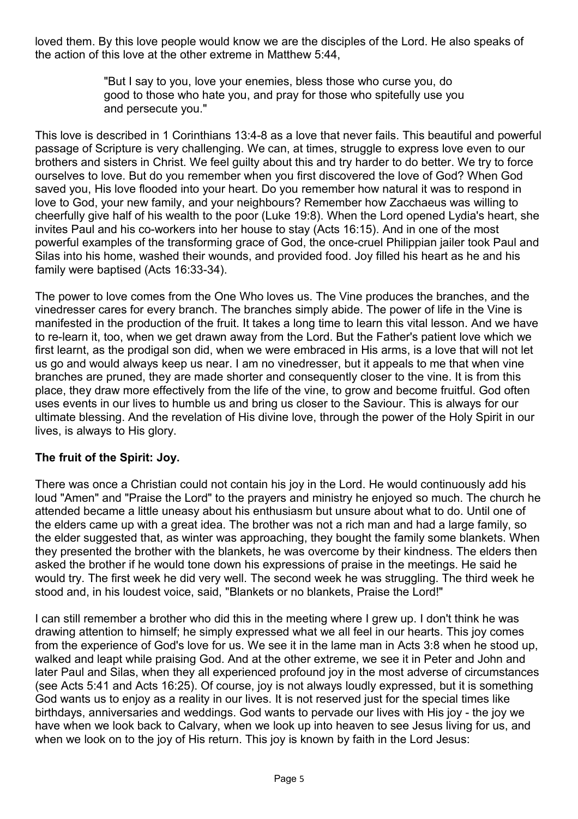loved them. By this love people would know we are the disciples of the Lord. He also speaks of the action of this love at the other extreme in Matthew 5:44,

> "But I say to you, love your enemies, bless those who curse you, do good to those who hate you, and pray for those who spitefully use you and persecute you."

This love is described in 1 Corinthians 13:4-8 as a love that never fails. This beautiful and powerful passage of Scripture is very challenging. We can, at times, struggle to express love even to our brothers and sisters in Christ. We feel guilty about this and try harder to do better. We try to force ourselves to love. But do you remember when you first discovered the love of God? When God saved you, His love flooded into your heart. Do you remember how natural it was to respond in love to God, your new family, and your neighbours? Remember how Zacchaeus was willing to cheerfully give half of his wealth to the poor (Luke 19:8). When the Lord opened Lydia's heart, she invites Paul and his co-workers into her house to stay (Acts 16:15). And in one of the most powerful examples of the transforming grace of God, the once-cruel Philippian jailer took Paul and Silas into his home, washed their wounds, and provided food. Joy filled his heart as he and his family were baptised (Acts 16:33-34).

The power to love comes from the One Who loves us. The Vine produces the branches, and the vinedresser cares for every branch. The branches simply abide. The power of life in the Vine is manifested in the production of the fruit. It takes a long time to learn this vital lesson. And we have to re-learn it, too, when we get drawn away from the Lord. But the Father's patient love which we first learnt, as the prodigal son did, when we were embraced in His arms, is a love that will not let us go and would always keep us near. I am no vinedresser, but it appeals to me that when vine branches are pruned, they are made shorter and consequently closer to the vine. It is from this place, they draw more effectively from the life of the vine, to grow and become fruitful. God often uses events in our lives to humble us and bring us closer to the Saviour. This is always for our ultimate blessing. And the revelation of His divine love, through the power of the Holy Spirit in our lives, is always to His glory.

# **The fruit of the Spirit: Joy.**

There was once a Christian could not contain his joy in the Lord. He would continuously add his loud "Amen" and "Praise the Lord" to the prayers and ministry he enjoyed so much. The church he attended became a little uneasy about his enthusiasm but unsure about what to do. Until one of the elders came up with a great idea. The brother was not a rich man and had a large family, so the elder suggested that, as winter was approaching, they bought the family some blankets. When they presented the brother with the blankets, he was overcome by their kindness. The elders then asked the brother if he would tone down his expressions of praise in the meetings. He said he would try. The first week he did very well. The second week he was struggling. The third week he stood and, in his loudest voice, said, "Blankets or no blankets, Praise the Lord!"

I can still remember a brother who did this in the meeting where I grew up. I don't think he was drawing attention to himself; he simply expressed what we all feel in our hearts. This joy comes from the experience of God's love for us. We see it in the lame man in Acts 3:8 when he stood up, walked and leapt while praising God. And at the other extreme, we see it in Peter and John and later Paul and Silas, when they all experienced profound joy in the most adverse of circumstances (see Acts 5:41 and Acts 16:25). Of course, joy is not always loudly expressed, but it is something God wants us to enjoy as a reality in our lives. It is not reserved just for the special times like birthdays, anniversaries and weddings. God wants to pervade our lives with His joy - the joy we have when we look back to Calvary, when we look up into heaven to see Jesus living for us, and when we look on to the joy of His return. This joy is known by faith in the Lord Jesus: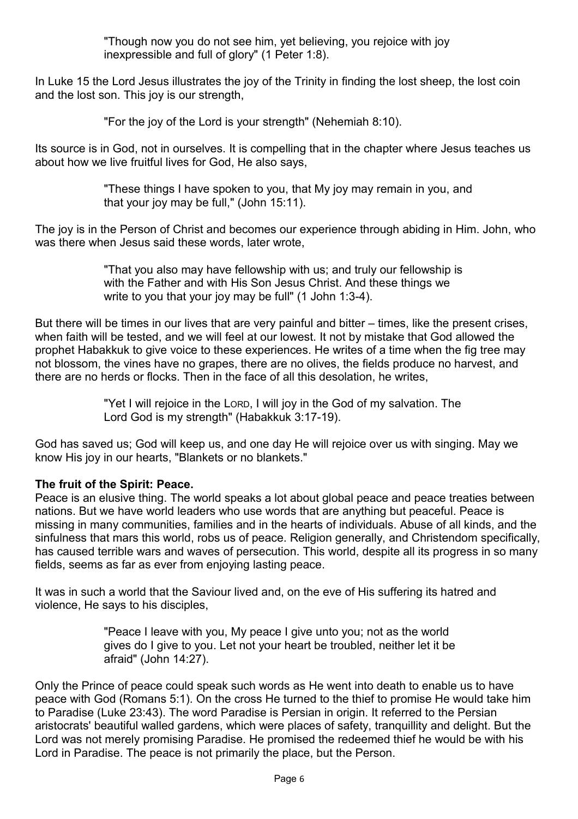"Though now you do not see him, yet believing, you rejoice with joy inexpressible and full of glory" (1 Peter 1:8).

In Luke 15 the Lord Jesus illustrates the joy of the Trinity in finding the lost sheep, the lost coin and the lost son. This joy is our strength,

"For the joy of the Lord is your strength" (Nehemiah 8:10).

Its source is in God, not in ourselves. It is compelling that in the chapter where Jesus teaches us about how we live fruitful lives for God, He also says,

> "These things I have spoken to you, that My joy may remain in you, and that your joy may be full," (John 15:11).

The joy is in the Person of Christ and becomes our experience through abiding in Him. John, who was there when Jesus said these words, later wrote,

> "That you also may have fellowship with us; and truly our fellowship is with the Father and with His Son Jesus Christ. And these things we write to you that your joy may be full" (1 John 1:3-4).

But there will be times in our lives that are very painful and bitter – times, like the present crises, when faith will be tested, and we will feel at our lowest. It not by mistake that God allowed the prophet Habakkuk to give voice to these experiences. He writes of a time when the fig tree may not blossom, the vines have no grapes, there are no olives, the fields produce no harvest, and there are no herds or flocks. Then in the face of all this desolation, he writes,

> "Yet I will rejoice in the LORD, I will joy in the God of my salvation. The Lord God is my strength" (Habakkuk 3:17-19).

God has saved us; God will keep us, and one day He will rejoice over us with singing. May we know His joy in our hearts, "Blankets or no blankets."

## **The fruit of the Spirit: Peace.**

Peace is an elusive thing. The world speaks a lot about global peace and peace treaties between nations. But we have world leaders who use words that are anything but peaceful. Peace is missing in many communities, families and in the hearts of individuals. Abuse of all kinds, and the sinfulness that mars this world, robs us of peace. Religion generally, and Christendom specifically, has caused terrible wars and waves of persecution. This world, despite all its progress in so many fields, seems as far as ever from enjoying lasting peace.

It was in such a world that the Saviour lived and, on the eve of His suffering its hatred and violence, He says to his disciples,

> "Peace I leave with you, My peace I give unto you; not as the world gives do I give to you. Let not your heart be troubled, neither let it be afraid" (John 14:27).

Only the Prince of peace could speak such words as He went into death to enable us to have peace with God (Romans 5:1). On the cross He turned to the thief to promise He would take him to Paradise (Luke 23:43). The word Paradise is Persian in origin. It referred to the Persian aristocrats' beautiful walled gardens, which were places of safety, tranquillity and delight. But the Lord was not merely promising Paradise. He promised the redeemed thief he would be with his Lord in Paradise. The peace is not primarily the place, but the Person.